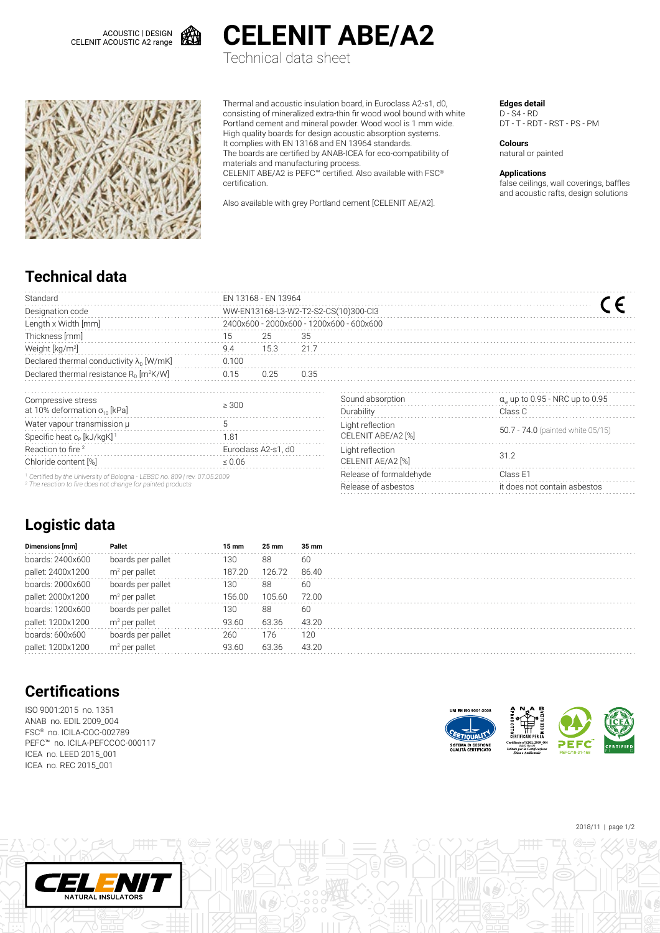ACOUSTIC | DESIGN CELENIT ACOUSTIC A2 range





**CELENIT ABE/A2** Technical data sheet

Thermal and acoustic insulation board, in Euroclass A2-s1, d0, consisting of mineralized extra-thin fir wood wool bound with white Portland cement and mineral powder. Wood wool is 1 mm wide. High quality boards for design acoustic absorption systems. It complies with EN 13168 and EN 13964 standards. The boards are certified by ANAB-ICEA for eco-compatibility of materials and manufacturing process.

CELENIT ABE/A2 is PEFC™ certified. Also available with FSC® certification.

Also available with grey Portland cement [CELENIT AE/A2].

#### **Edges detail**

D - S4 - RD DT - T - RDT - RST - PS - PM

**Colours** natural or painted

#### **Applications**

false ceilings, wall coverings, baffles and acoustic rafts, design solutions

# **Technical data**

| Standard                                                                              | FN 13168 - FN 13964                      |                     |                         |                              |                                              |  |  |  |  |  |
|---------------------------------------------------------------------------------------|------------------------------------------|---------------------|-------------------------|------------------------------|----------------------------------------------|--|--|--|--|--|
| Designation code                                                                      | WW-EN13168-L3-W2-T2-S2-CS(10)300-Cl3     |                     |                         |                              |                                              |  |  |  |  |  |
| Length x Width [mm]                                                                   | 2400x600 - 2000x600 - 1200x600 - 600x600 |                     |                         |                              |                                              |  |  |  |  |  |
| Thickness [mm]                                                                        | 15                                       | 25                  | 35                      |                              |                                              |  |  |  |  |  |
| Weight [kg/m <sup>2</sup> ]                                                           | 9.4                                      | 15.3                | 21.7                    |                              |                                              |  |  |  |  |  |
| Declared thermal conductivity $\lambda_{\rm n}$ [W/mK]                                | 0.100                                    |                     |                         |                              |                                              |  |  |  |  |  |
| Declared thermal resistance $R_0$ [m <sup>2</sup> K/W]                                | 0.15                                     | 0.25                | 0.35                    |                              |                                              |  |  |  |  |  |
| Compressive stress                                                                    | > 300                                    |                     |                         | Sound absorption             | $\alpha_{\rm w}$ up to 0.95 - NRC up to 0.95 |  |  |  |  |  |
| at 10% deformation $\sigma_{10}$ [kPa]                                                |                                          |                     |                         | Durability                   | Class C                                      |  |  |  |  |  |
| Water vapour transmission µ                                                           |                                          |                     |                         | Light reflection             |                                              |  |  |  |  |  |
| Specific heat c <sub>p</sub> [kJ/kgK] <sup>1</sup>                                    | 1.81                                     |                     |                         | CELENIT ABE/A2 [%]           | 50.7 - 74.0 (painted white 05/15)            |  |  |  |  |  |
| Reaction to fire <sup>2</sup>                                                         |                                          | Euroclass A2-s1, d0 |                         | Light reflection             |                                              |  |  |  |  |  |
| Chloride content [%]                                                                  | $\leq 0.06$                              |                     |                         | CELENIT AE/A2 [%]            | 31.2                                         |  |  |  |  |  |
| <sup>1</sup> Certified by the University of Bologna - LEBSC no. 809   rev. 07.05.2009 |                                          |                     | Release of formaldehyde | Class E1                     |                                              |  |  |  |  |  |
| <sup>2</sup> The reaction to fire does not change for painted products                |                                          |                     | Release of asbestos     | it does not contain asbestos |                                              |  |  |  |  |  |
|                                                                                       |                                          |                     |                         |                              |                                              |  |  |  |  |  |

## **Logistic data**

| Dimensions [mm]   | Pallet            | 15 mm  | 25 mm  | 35 mm |  |
|-------------------|-------------------|--------|--------|-------|--|
| boards: 2400x600  | boards per pallet | 130    | 88     | 60    |  |
| pallet: 2400x1200 | $m2$ per pallet   | 187.20 | 126.72 | 86.40 |  |
| boards: 2000x600  | boards per pallet | 130    | 88     | 60    |  |
| pallet: 2000x1200 | $m2$ per pallet   | 156.00 | 105.60 | 72.00 |  |
| boards: 1200x600  | boards per pallet | 130    | 88     | 60    |  |
| pallet: 1200x1200 | $m2$ per pallet   | 93.60  | 63.36  | 43.20 |  |
| boards: 600x600   | boards per pallet | 260    | 176    | 120   |  |
| pallet: 1200x1200 | $m2$ per pallet   | 93.60  | 63.36  | 43.20 |  |
|                   |                   |        |        |       |  |

## **Certifications**

ISO 9001:2015 no. 1351 ANAB no. EDIL 2009\_004 FSC® no. ICILA-COC-002789 PEFC™ no. ICILA-PEFCCOC-000117 ICEA no. LEED 2015\_001 ICEA no. REC 2015\_001

NATURAL INSULATORS



2018/11 | page 1/2